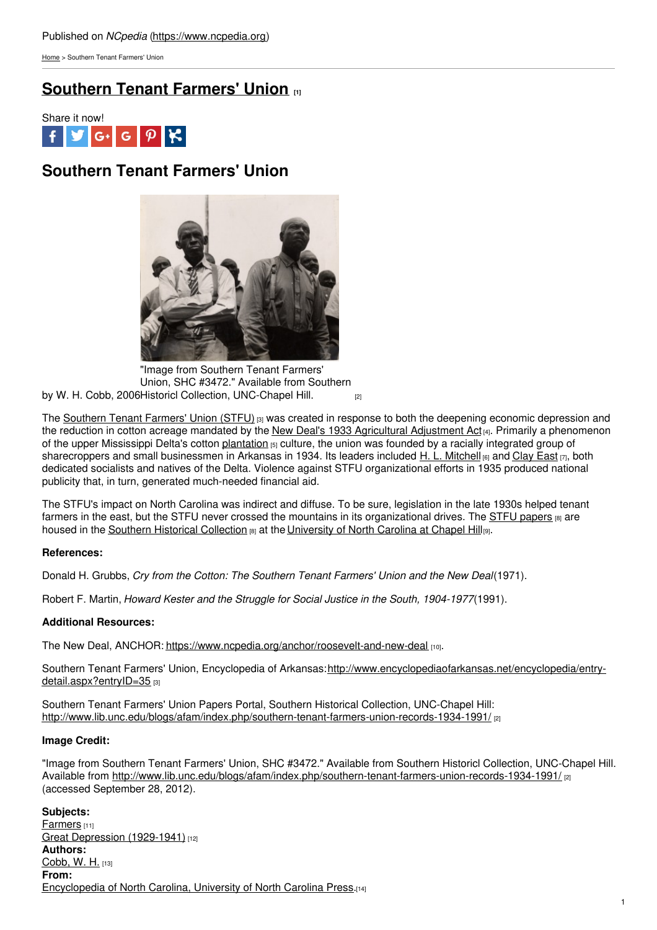[Home](https://www.ncpedia.org/) > Southern Tenant Farmers' Union

## **[Southern](https://www.ncpedia.org/southern-tenant-farmers-union) Tenant Farmers' Union [1]**



# **Southern Tenant Farmers' Union**



by W. H. Cobb, 2006 Historicl Collection, [UNC-Chapel](http://www.lib.unc.edu/blogs/afam/index.php/southern-tenant-farmers-union-records-1934-1991/) Hill. [2] "Image from Southern Tenant Farmers' Union, SHC #3472." Available from Southern

The [Southern](http://www.encyclopediaofarkansas.net/encyclopedia/entry-detail.aspx?entryID=35) Tenant Farmers' Union (STFU) [3] was created in response to both the deepening economic depression and the reduction in cotton acreage mandated by the New Deal's 1933 Agricultural [Adjustment](http://www.learnnc.org/lp/editions/nchist-worldwar/5817) Act [4]. Primarily a phenomenon of the upper Mississippi Delta's cotton [plantation](https://www.ncpedia.org/plantation-names) [5] culture, the union was founded by a racially integrated group of sharecroppers and small businessmen in Arkansas in 1934. Its leaders included H. L. [Mitchell](http://www.encyclopediaofarkansas.net/encyclopedia/entry-detail.aspx?entryID=1717) <sup>68</sup> and [Clay](http://libinfo.uark.edu/specialcollections/findingaids/east.html) East [7], both dedicated socialists and natives of the Delta. Violence against STFU organizational efforts in 1935 produced national publicity that, in turn, generated much-needed financial aid.

The STFU's impact on North Carolina was indirect and diffuse. To be sure, legislation in the late 1930s helped tenant farmers in the east, but the STFU never crossed the mountains in its organizational drives. The STFU [papers](http://www.lib.unc.edu/mss/inv/s/Southern_Tenant_Farmers_Union.html)  $\frac{1}{18}$  are housed in the Southern Historical [Collection](http://www.lib.unc.edu/mss/inv/s/Southern_Tenant_Farmers_Union.html) [8] at the [University](https://www.ncpedia.org/university-north-carolina-chapel-hi) of North Carolina at Chapel Hill[9].

### **References:**

Donald H. Grubbs, *Cry from the Cotton: The Southern Tenant Farmers' Union and the New Deal*(1971).

Robert F. Martin, *Howard Kester and the Struggle for Social Justice in the South, 1904-1977*(1991).

### **Additional Resources:**

The New Deal, ANCHOR: <https://www.ncpedia.org/anchor/roosevelt-and-new-deal> [10].

Southern Tenant Farmers' Union, Encyclopedia of [Arkansas:http://www.encyclopediaofarkansas.net/encyclopedia/entry](http://www.encyclopediaofarkansas.net/encyclopedia/entry-detail.aspx?entryID=35)detail.aspx?entryID=35 [3]

Southern Tenant Farmers' Union Papers Portal, Southern Historical Collection, UNC-Chapel Hill: <http://www.lib.unc.edu/blogs/afam/index.php/southern-tenant-farmers-union-records-1934-1991/> [2]

#### **Image Credit:**

"Image from Southern Tenant Farmers' Union, SHC #3472." Available from Southern Historicl Collection, UNC-Chapel Hill. Available from <http://www.lib.unc.edu/blogs/afam/index.php/southern-tenant-farmers-union-records-1934-1991/> [2] (accessed September 28, 2012).

**Subjects:** [Farmers](https://www.ncpedia.org/category/subjects/farmers) [11] Great Depression [\(1929-1941\)](https://www.ncpedia.org/category/subjects/great-depression-) [12] **Authors:** [Cobb,](https://www.ncpedia.org/category/authors/cobb-w-h) W. H. [13] **From:** [Encyclopedia](https://www.ncpedia.org/category/entry-source/encyclopedia-) of North Carolina, University of North Carolina Press.[14]